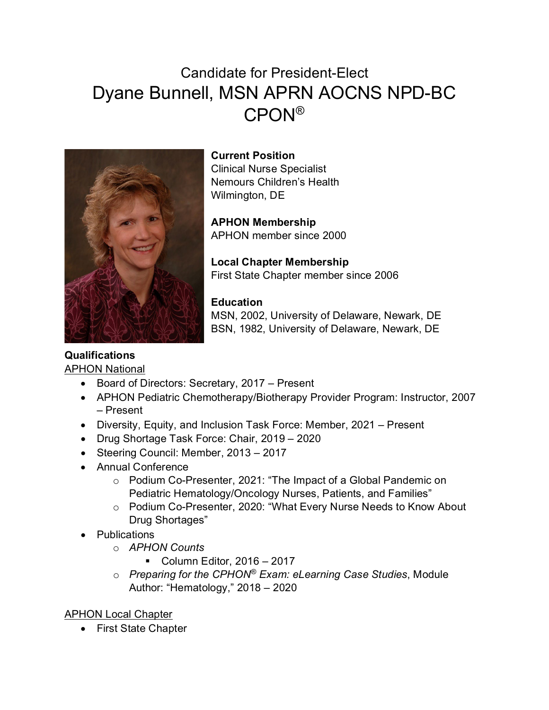# Candidate for President-Elect Dyane Bunnell, MSN APRN AOCNS NPD-BC CPON®



**Current Position** Clinical Nurse Specialist Nemours Children's Health Wilmington, DE

**APHON Membership** APHON member since 2000

**Local Chapter Membership** First State Chapter member since 2006

### **Education**

MSN, 2002, University of Delaware, Newark, DE BSN, 1982, University of Delaware, Newark, DE

## **Qualifications**

APHON National

- Board of Directors: Secretary, 2017 Present
- APHON Pediatric Chemotherapy/Biotherapy Provider Program: Instructor, 2007 – Present
- Diversity, Equity, and Inclusion Task Force: Member, 2021 Present
- Drug Shortage Task Force: Chair, 2019 2020
- Steering Council: Member, 2013 2017
- Annual Conference
	- o Podium Co-Presenter, 2021: "The Impact of a Global Pandemic on Pediatric Hematology/Oncology Nurses, Patients, and Families"
	- o Podium Co-Presenter, 2020: "What Every Nurse Needs to Know About Drug Shortages"
- Publications
	- o *APHON Counts*
		- Column Editor,  $2016 2017$
	- o *Preparing for the CPHON® Exam: eLearning Case Studies*, Module Author: "Hematology," 2018 – 2020

APHON Local Chapter

• First State Chapter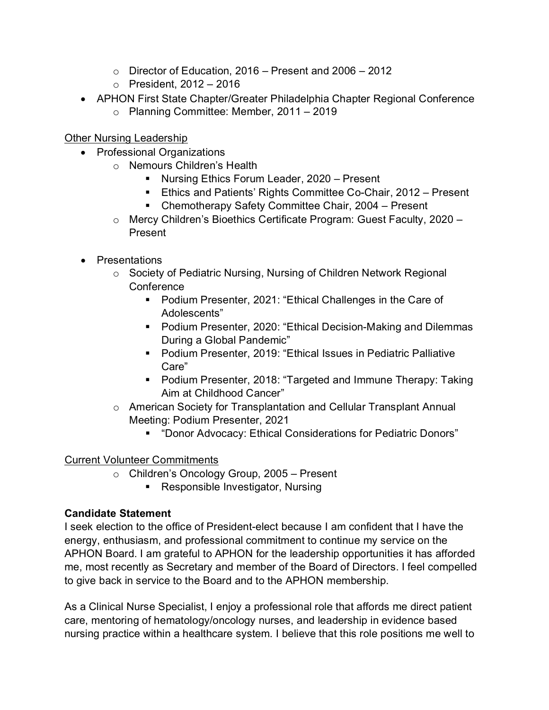- $\circ$  Director of Education, 2016 Present and 2006 2012
- $\circ$  President, 2012 2016
- APHON First State Chapter/Greater Philadelphia Chapter Regional Conference
	- o Planning Committee: Member, 2011 2019

Other Nursing Leadership

- Professional Organizations
	- o Nemours Children's Health
		- **Nursing Ethics Forum Leader, 2020 Present**
		- **Ethics and Patients' Rights Committee Co-Chair, 2012 Present**
		- **E** Chemotherapy Safety Committee Chair, 2004 Present
	- o Mercy Children's Bioethics Certificate Program: Guest Faculty, 2020 Present
- Presentations
	- o Society of Pediatric Nursing, Nursing of Children Network Regional **Conference** 
		- **Podium Presenter, 2021: "Ethical Challenges in the Care of** Adolescents"
		- Podium Presenter, 2020: "Ethical Decision-Making and Dilemmas During a Global Pandemic"
		- Podium Presenter, 2019: "Ethical Issues in Pediatric Palliative Care"
		- Podium Presenter, 2018: "Targeted and Immune Therapy: Taking Aim at Childhood Cancer"
	- o American Society for Transplantation and Cellular Transplant Annual Meeting: Podium Presenter, 2021
		- "Donor Advocacy: Ethical Considerations for Pediatric Donors"

### Current Volunteer Commitments

- o Children's Oncology Group, 2005 Present
	- **Responsible Investigator, Nursing**

### **Candidate Statement**

I seek election to the office of President-elect because I am confident that I have the energy, enthusiasm, and professional commitment to continue my service on the APHON Board. I am grateful to APHON for the leadership opportunities it has afforded me, most recently as Secretary and member of the Board of Directors. I feel compelled to give back in service to the Board and to the APHON membership.

As a Clinical Nurse Specialist, I enjoy a professional role that affords me direct patient care, mentoring of hematology/oncology nurses, and leadership in evidence based nursing practice within a healthcare system. I believe that this role positions me well to